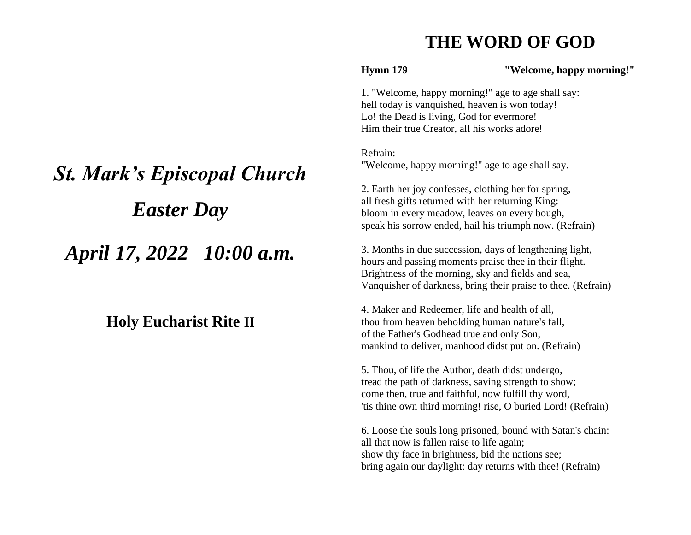## **THE WORD OF GOD**

**Hymn 179 "Welcome, happy morning!"**

1. "Welcome, happy morning!" age to age shall say: hell today is vanquished, heaven is won today! Lo! the Dead is living, God for evermore! Him their true Creator, all his works adore!

Refrain: "Welcome, happy morning!" age to age shall say.

2. Earth her joy confesses, clothing her for spring, all fresh gifts returned with her returning King: bloom in every meadow, leaves on every bough, speak his sorrow ended, hail his triumph now. (Refrain)

3. Months in due succession, days of lengthening light, hours and passing moments praise thee in their flight. Brightness of the morning, sky and fields and sea, Vanquisher of darkness, bring their praise to thee. (Refrain)

4. Maker and Redeemer, life and health of all, thou from heaven beholding human nature's fall, of the Father's Godhead true and only Son, mankind to deliver, manhood didst put on. (Refrain)

5. Thou, of life the Author, death didst undergo, tread the path of darkness, saving strength to show; come then, true and faithful, now fulfill thy word, 'tis thine own third morning! rise, O buried Lord! (Refrain)

6. Loose the souls long prisoned, bound with Satan's chain: all that now is fallen raise to life again; show thy face in brightness, bid the nations see; bring again our daylight: day returns with thee! (Refrain)

# *St. Mark's Episcopal Church Easter Day April 17, 2022 10:00 a.m.*

## **Holy Eucharist Rite II**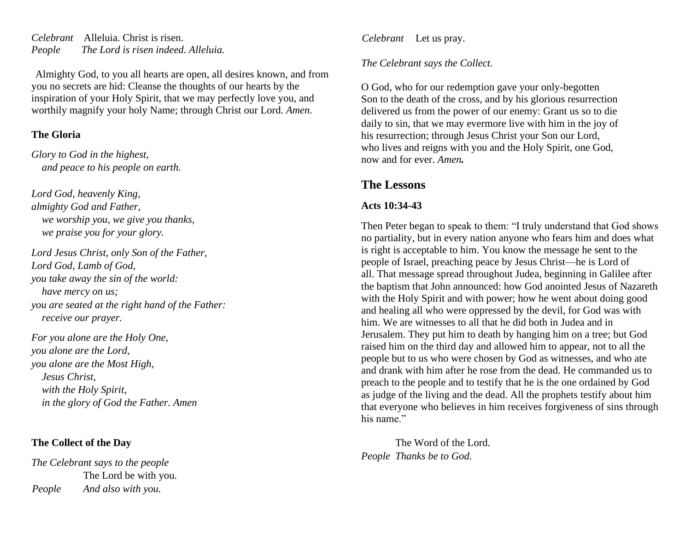*Celebrant* Alleluia. Christ is risen. *People The Lord is risen indeed. Alleluia.*

Almighty God, to you all hearts are open, all desires known, and from you no secrets are hid: Cleanse the thoughts of our hearts by the inspiration of your Holy Spirit, that we may perfectly love you, and worthily magnify your holy Name; through Christ our Lord. *Amen.*

### **The Gloria**

*Glory to God in the highest, and peace to his people on earth.*

*Lord God, heavenly King, almighty God and Father, we worship you, we give you thanks, we praise you for your glory.*

*Lord Jesus Christ, only Son of the Father, Lord God, Lamb of God, you take away the sin of the world: have mercy on us; you are seated at the right hand of the Father: receive our prayer.*

*For you alone are the Holy One, you alone are the Lord, you alone are the Most High, Jesus Christ, with the Holy Spirit, in the glory of God the Father. Amen*

### **The Collect of the Day**

*The Celebrant says to the people* The Lord be with you. *People And also with you.*

*Celebrant* Let us pray.

### *The Celebrant says the Collect.*

O God, who for our redemption gave your only-begotten Son to the death of the cross, and by his glorious resurrection delivered us from the power of our enemy: Grant us so to die daily to sin, that we may evermore live with him in the joy of his resurrection; through Jesus Christ your Son our Lord, who lives and reigns with you and the Holy Spirit, one God, now and for ever. *Amen.*

### **The Lessons**

### **Acts 10:34-43**

Then Peter began to speak to them: "I truly understand that God shows no partiality, but in every nation anyone who fears him and does what is right is acceptable to him. You know the message he sent to the people of Israel, preaching peace by Jesus Christ—he is Lord of all. That message spread throughout Judea, beginning in Galilee after the baptism that John announced: how God anointed Jesus of Nazareth with the Holy Spirit and with power; how he went about doing good and healing all who were oppressed by the devil, for God was with him. We are witnesses to all that he did both in Judea and in Jerusalem. They put him to death by hanging him on a tree; but God raised him on the third day and allowed him to appear, not to all the people but to us who were chosen by God as witnesses, and who ate and drank with him after he rose from the dead. He commanded us to preach to the people and to testify that he is the one ordained by God as judge of the living and the dead. All the prophets testify about him that everyone who believes in him receives forgiveness of sins through his name."

 The Word of the Lord. *People Thanks be to God.*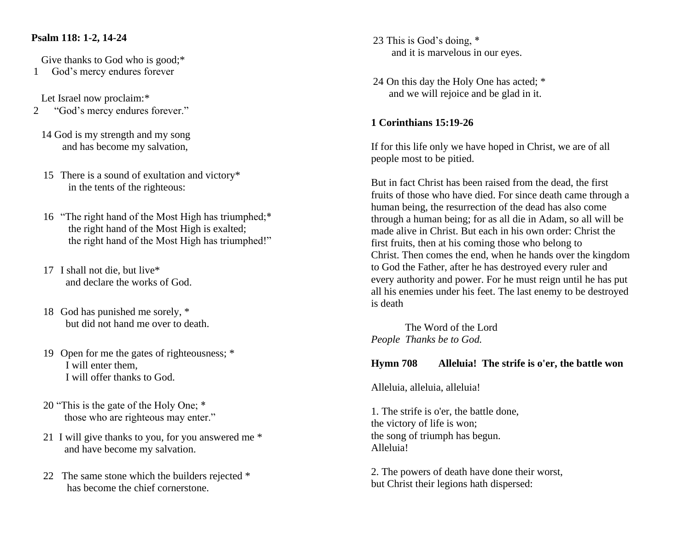### **Psalm 118: 1-2, 14-24**

Give thanks to God who is good;\*

1 God's mercy endures forever

Let Israel now proclaim:\*

- 2 "God's mercy endures forever."
	- 14 God is my strength and my song and has become my salvation,
	- 15 There is a sound of exultation and victory\* in the tents of the righteous:
	- 16 "The right hand of the Most High has triumphed;\* the right hand of the Most High is exalted; the right hand of the Most High has triumphed!"
	- 17 I shall not die, but live\* and declare the works of God.
	- 18 God has punished me sorely, \* but did not hand me over to death.
	- 19 Open for me the gates of righteousness; \* I will enter them, I will offer thanks to God.
	- 20 "This is the gate of the Holy One; \* those who are righteous may enter."
	- 21 I will give thanks to you, for you answered me \* and have become my salvation.
	- 22 The same stone which the builders rejected \* has become the chief cornerstone.

23 This is God's doing, \* and it is marvelous in our eyes.

24 On this day the Holy One has acted; \* and we will rejoice and be glad in it.

### **1 Corinthians 15:19-26**

If for this life only we have hoped in Christ, we are of all people most to be pitied.

But in fact Christ has been raised from the dead, the first fruits of those who have died. For since death came through a human being, the resurrection of the dead has also come through a human being; for as all die in Adam, so all will be made alive in Christ. But each in his own order: Christ the first fruits, then at his coming those who belong to Christ. Then comes the end, when he hands over the kingdom to God the Father, after he has destroyed every ruler and every authority and power. For he must reign until he has put all his enemies under his feet. The last enemy to be destroyed is death

 The Word of the Lord *People Thanks be to God.*

### **Hymn 708 Alleluia! The strife is o'er, the battle won**

Alleluia, alleluia, alleluia!

1. The strife is o'er, the battle done, the victory of life is won; the song of triumph has begun. Alleluia!

2. The powers of death have done their worst, but Christ their legions hath dispersed: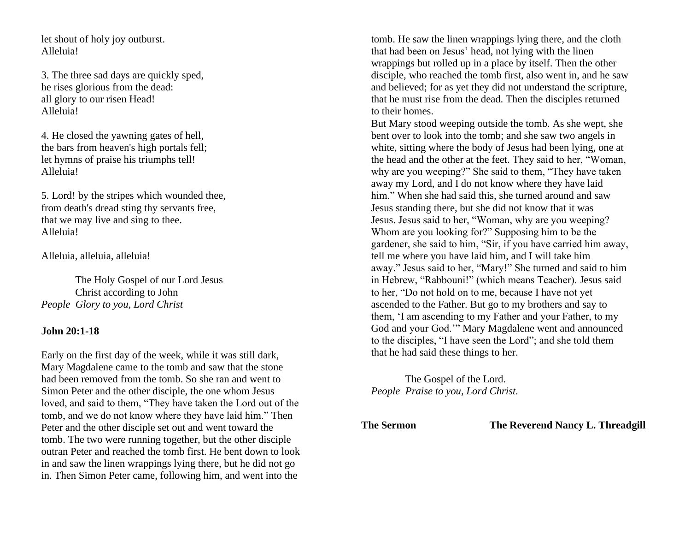let shout of holy joy outburst. Alleluia!

3. The three sad days are quickly sped, he rises glorious from the dead: all glory to our risen Head! Alleluia!

4. He closed the yawning gates of hell, the bars from heaven's high portals fell; let hymns of praise his triumphs tell! Alleluia!

5. Lord! by the stripes which wounded thee, from death's dread sting thy servants free, that we may live and sing to thee. Alleluia!

Alleluia, alleluia, alleluia!

 The Holy Gospel of our Lord Jesus Christ according to John *People Glory to you, Lord Christ*

### **John 20:1-18**

Early on the first day of the week, while it was still dark, Mary Magdalene came to the tomb and saw that the stone had been removed from the tomb. So she ran and went to Simon Peter and the other disciple, the one whom Jesus loved, and said to them, "They have taken the Lord out of the tomb, and we do not know where they have laid him." Then Peter and the other disciple set out and went toward the tomb. The two were running together, but the other disciple outran Peter and reached the tomb first. He bent down to look in and saw the linen wrappings lying there, but he did not go in. Then Simon Peter came, following him, and went into the

tomb. He saw the linen wrappings lying there, and the cloth that had been on Jesus' head, not lying with the linen wrappings but rolled up in a place by itself. Then the other disciple, who reached the tomb first, also went in, and he saw and believed; for as yet they did not understand the scripture, that he must rise from the dead. Then the disciples returned to their homes.

But Mary stood weeping outside the tomb. As she wept, she bent over to look into the tomb; and she saw two angels in white, sitting where the body of Jesus had been lying, one at the head and the other at the feet. They said to her, "Woman, why are you weeping?" She said to them, "They have taken away my Lord, and I do not know where they have laid him." When she had said this, she turned around and saw Jesus standing there, but she did not know that it was Jesus. Jesus said to her, "Woman, why are you weeping? Whom are you looking for?" Supposing him to be the gardener, she said to him, "Sir, if you have carried him away, tell me where you have laid him, and I will take him away." Jesus said to her, "Mary!" She turned and said to him in Hebrew, "Rabbouni!" (which means Teacher). Jesus said to her, "Do not hold on to me, because I have not yet ascended to the Father. But go to my brothers and say to them, 'I am ascending to my Father and your Father, to my God and your God.'" Mary Magdalene went and announced to the disciples, "I have seen the Lord"; and she told them that he had said these things to her.

 The Gospel of the Lord. *People Praise to you, Lord Christ.*

**The Sermon The Reverend Nancy L. Threadgill**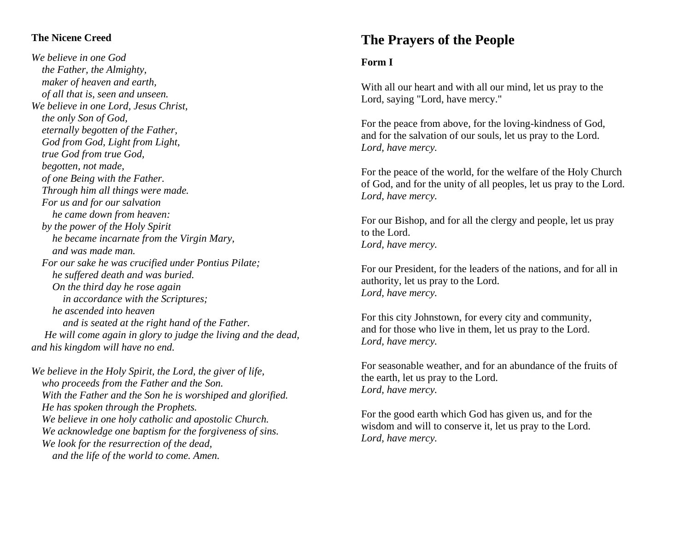### **The Nicene Creed**

*We believe in one God the Father, the Almighty, maker of heaven and earth, of all that is, seen and unseen. We believe in one Lord, Jesus Christ, the only Son of God, eternally begotten of the Father, God from God, Light from Light, true God from true God, begotten, not made, of one Being with the Father. Through him all things were made. For us and for our salvation he came down from heaven: by the power of the Holy Spirit he became incarnate from the Virgin Mary, and was made man. For our sake he was crucified under Pontius Pilate; he suffered death and was buried. On the third day he rose again in accordance with the Scriptures; he ascended into heaven and is seated at the right hand of the Father. He will come again in glory to judge the living and the dead, and his kingdom will have no end.* 

*We believe in the Holy Spirit, the Lord, the giver of life, who proceeds from the Father and the Son. With the Father and the Son he is worshiped and glorified. He has spoken through the Prophets. We believe in one holy catholic and apostolic Church. We acknowledge one baptism for the forgiveness of sins. We look for the resurrection of the dead, and the life of the world to come. Amen.*

### **The Prayers of the People**

### **Form I**

With all our heart and with all our mind, let us pray to the Lord, saying "Lord, have mercy."

For the peace from above, for the loving-kindness of God, and for the salvation of our souls, let us pray to the Lord. *Lord, have mercy.*

For the peace of the world, for the welfare of the Holy Church of God, and for the unity of all peoples, let us pray to the Lord. *Lord, have mercy.*

For our Bishop, and for all the clergy and people, let us pray to the Lord. *Lord, have mercy.*

For our President, for the leaders of the nations, and for all in authority, let us pray to the Lord. *Lord, have mercy.*

For this city Johnstown, for every city and community, and for those who live in them, let us pray to the Lord. *Lord, have mercy.*

For seasonable weather, and for an abundance of the fruits of the earth, let us pray to the Lord. *Lord, have mercy.*

For the good earth which God has given us, and for the wisdom and will to conserve it, let us pray to the Lord. *Lord, have mercy.*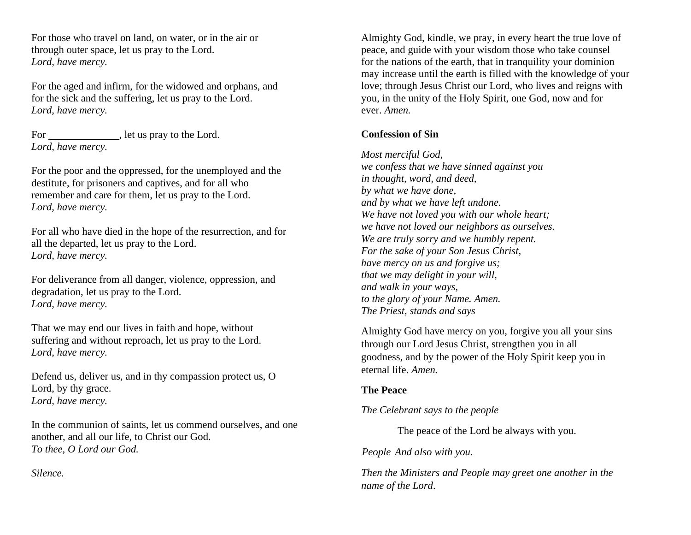For those who travel on land, on water, or in the air or through outer space, let us pray to the Lord. *Lord, have mercy.*

For the aged and infirm, for the widowed and orphans, and for the sick and the suffering, let us pray to the Lord. *Lord, have mercy.*

For \_\_\_\_\_\_\_\_\_\_\_\_\_\_\_, let us pray to the Lord. *Lord, have mercy.*

For the poor and the oppressed, for the unemployed and the destitute, for prisoners and captives, and for all who remember and care for them, let us pray to the Lord. *Lord, have mercy.*

For all who have died in the hope of the resurrection, and for all the departed, let us pray to the Lord. *Lord, have mercy.*

For deliverance from all danger, violence, oppression, and degradation, let us pray to the Lord. *Lord, have mercy.*

That we may end our lives in faith and hope, without suffering and without reproach, let us pray to the Lord. *Lord, have mercy.*

Defend us, deliver us, and in thy compassion protect us, O Lord, by thy grace. *Lord, have mercy.*

In the communion of saints, let us commend ourselves, and one another, and all our life, to Christ our God. *To thee, O Lord our God.*

*Silence.*

Almighty God, kindle, we pray, in every heart the true love of peace, and guide with your wisdom those who take counsel for the nations of the earth, that in tranquility your dominion may increase until the earth is filled with the knowledge of your love; through Jesus Christ our Lord, who lives and reigns with you, in the unity of the Holy Spirit, one God, now and for ever. *Amen.*

### **Confession of Sin**

*Most merciful God,*

*we confess that we have sinned against you in thought, word, and deed, by what we have done, and by what we have left undone. We have not loved you with our whole heart; we have not loved our neighbors as ourselves. We are truly sorry and we humbly repent. For the sake of your Son Jesus Christ, have mercy on us and forgive us; that we may delight in your will, and walk in your ways, to the glory of your Name. Amen. The Priest, stands and says*

Almighty God have mercy on you, forgive you all your sins through our Lord Jesus Christ, strengthen you in all goodness, and by the power of the Holy Spirit keep you in eternal life. *Amen.*

### **The Peace**

### *The Celebrant says to the people*

The peace of the Lord be always with you.

*People And also with you*.

*Then the Ministers and People may greet one another in the name of the Lord*.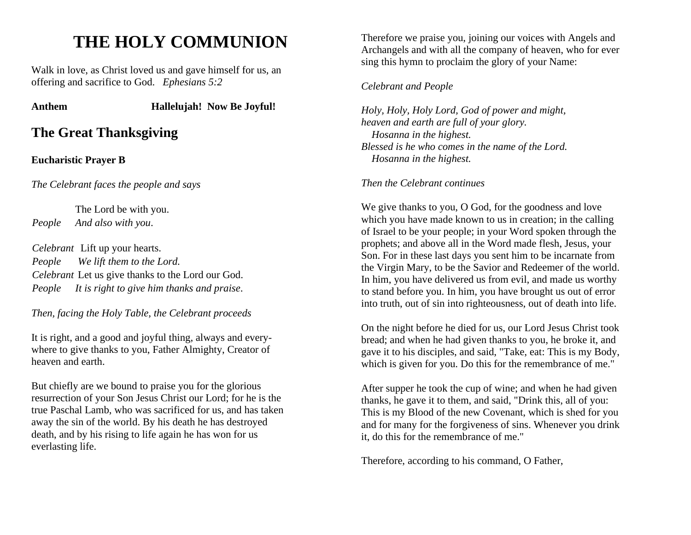## **THE HOLY COMMUNION**

Walk in love, as Christ loved us and gave himself for us, an offering and sacrifice to God. *Ephesians 5:2*

**Anthem Hallelujah! Now Be Joyful!**

### **The Great Thanksgiving**

### **Eucharistic Prayer B**

*The Celebrant faces the people and says*

The Lord be with you. *People And also with you*.

*Celebrant* Lift up your hearts. *People We lift them to the Lord. Celebrant* Let us give thanks to the Lord our God. *People It is right to give him thanks and praise*.

*Then, facing the Holy Table, the Celebrant proceeds*

It is right, and a good and joyful thing, always and everywhere to give thanks to you, Father Almighty, Creator of heaven and earth.

But chiefly are we bound to praise you for the glorious resurrection of your Son Jesus Christ our Lord; for he is the true Paschal Lamb, who was sacrificed for us, and has taken away the sin of the world. By his death he has destroyed death, and by his rising to life again he has won for us everlasting life.

Therefore we praise you, joining our voices with Angels and Archangels and with all the company of heaven, who for ever sing this hymn to proclaim the glory of your Name:

### *Celebrant and People*

*Holy, Holy, Holy Lord, God of power and might, heaven and earth are full of your glory. Hosanna in the highest. Blessed is he who comes in the name of the Lord. Hosanna in the highest.*

*Then the Celebrant continues*

We give thanks to you, O God, for the goodness and love which you have made known to us in creation; in the calling of Israel to be your people; in your Word spoken through the prophets; and above all in the Word made flesh, Jesus, your Son. For in these last days you sent him to be incarnate from the Virgin Mary, to be the Savior and Redeemer of the world. In him, you have delivered us from evil, and made us worthy to stand before you. In him, you have brought us out of error into truth, out of sin into righteousness, out of death into life.

On the night before he died for us, our Lord Jesus Christ took bread; and when he had given thanks to you, he broke it, and gave it to his disciples, and said, "Take, eat: This is my Body, which is given for you. Do this for the remembrance of me."

After supper he took the cup of wine; and when he had given thanks, he gave it to them, and said, "Drink this, all of you: This is my Blood of the new Covenant, which is shed for you and for many for the forgiveness of sins. Whenever you drink it, do this for the remembrance of me."

Therefore, according to his command, O Father,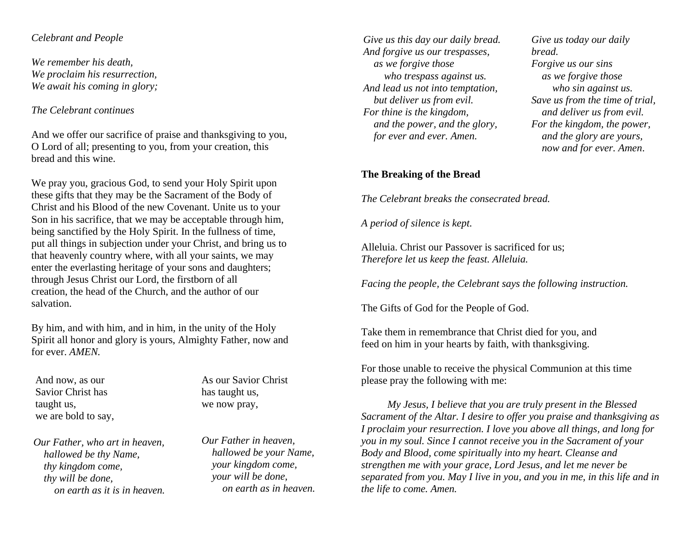### *Celebrant and People*

*We remember his death, We proclaim his resurrection, We await his coming in glory;*

### *The Celebrant continues*

And we offer our sacrifice of praise and thanksgiving to you, O Lord of all; presenting to you, from your creation, this bread and this wine.

We pray you, gracious God, to send your Holy Spirit upon these gifts that they may be the Sacrament of the Body of Christ and his Blood of the new Covenant. Unite us to your Son in his sacrifice, that we may be acceptable through him, being sanctified by the Holy Spirit. In the fullness of time, put all things in subjection under your Christ, and bring us to that heavenly country where, with all your saints, we may enter the everlasting heritage of your sons and daughters; through Jesus Christ our Lord, the firstborn of all creation, the head of the Church, and the author of our salvation.

By him, and with him, and in him, in the unity of the Holy Spirit all honor and glory is yours, Almighty Father, now and for ever. *AMEN.*

And now, as our Savior Christ has taught us, we are bold to say,

*Our Father, who art in heaven, hallowed be thy Name, thy kingdom come, thy will be done, on earth as it is in heaven.*

As our Savior Christ has taught us, we now pray,

*Our Father in heaven, hallowed be your Name, your kingdom come, your will be done, on earth as in heaven.*

*Give us this day our daily bread. And forgive us our trespasses, as we forgive those who trespass against us. And lead us not into temptation, but deliver us from evil. For thine is the kingdom, and the power, and the glory, for ever and ever. Amen.*

*Give us today our daily bread. Forgive us our sins as we forgive those who sin against us. Save us from the time of trial, and deliver us from evil. For the kingdom, the power, and the glory are yours, now and for ever. Amen*.

### **The Breaking of the Bread**

*The Celebrant breaks the consecrated bread.*

*A period of silence is kept.*

Alleluia. Christ our Passover is sacrificed for us; *Therefore let us keep the feast. Alleluia.*

*Facing the people, the Celebrant says the following instruction.*

The Gifts of God for the People of God.

Take them in remembrance that Christ died for you, and feed on him in your hearts by faith, with thanksgiving.

For those unable to receive the physical Communion at this time please pray the following with me:

 *My Jesus, I believe that you are truly present in the Blessed Sacrament of the Altar. I desire to offer you praise and thanksgiving as I proclaim your resurrection. I love you above all things, and long for you in my soul. Since I cannot receive you in the Sacrament of your Body and Blood, come spiritually into my heart. Cleanse and strengthen me with your grace, Lord Jesus, and let me never be separated from you. May I live in you, and you in me, in this life and in the life to come. Amen.*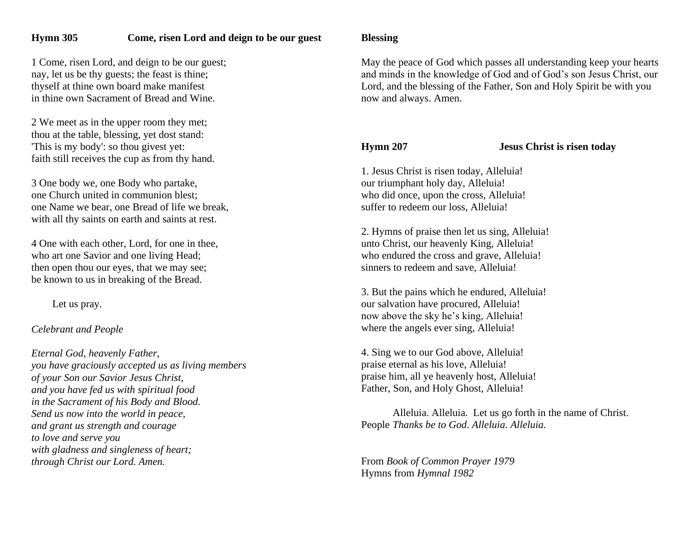### **Hymn 305 Come, risen Lord and deign to be our guest**

1 Come, risen Lord, and deign to be our guest; nay, let us be thy guests; the feast is thine; thyself at thine own board make manifest in thine own Sacrament of Bread and Wine.

2 We meet as in the upper room they met; thou at the table, blessing, yet dost stand: 'This is my body': so thou givest yet: faith still receives the cup as from thy hand.

3 One body we, one Body who partake, one Church united in communion blest; one Name we bear, one Bread of life we break, with all thy saints on earth and saints at rest.

4 One with each other, Lord, for one in thee, who art one Savior and one living Head; then open thou our eyes, that we may see; be known to us in breaking of the Bread.

Let us pray.

### *Celebrant and People*

*Eternal God, heavenly Father, you have graciously accepted us as living members of your Son our Savior Jesus Christ, and you have fed us with spiritual food in the Sacrament of his Body and Blood. Send us now into the world in peace, and grant us strength and courage to love and serve you with gladness and singleness of heart; through Christ our Lord. Amen.*

### **Blessing**

May the peace of God which passes all understanding keep your hearts and minds in the knowledge of God and of God's son Jesus Christ, our Lord, and the blessing of the Father, Son and Holy Spirit be with you now and always. Amen.

### **Hymn 207 Jesus Christ is risen today**

1. Jesus Christ is risen today, Alleluia! our triumphant holy day, Alleluia! who did once, upon the cross, Alleluia! suffer to redeem our loss, Alleluia!

2. Hymns of praise then let us sing, Alleluia! unto Christ, our heavenly King, Alleluia! who endured the cross and grave, Alleluia! sinners to redeem and save, Alleluia!

3. But the pains which he endured, Alleluia! our salvation have procured, Alleluia! now above the sky he's king, Alleluia! where the angels ever sing, Alleluia!

4. Sing we to our God above, Alleluia! praise eternal as his love, Alleluia! praise him, all ye heavenly host, Alleluia! Father, Son, and Holy Ghost, Alleluia!

 Alleluia. Alleluia. Let us go forth in the name of Christ. People *Thanks be to God*. *Alleluia. Alleluia.*

From *Book of Common Prayer 1979* Hymns from *Hymnal 1982*